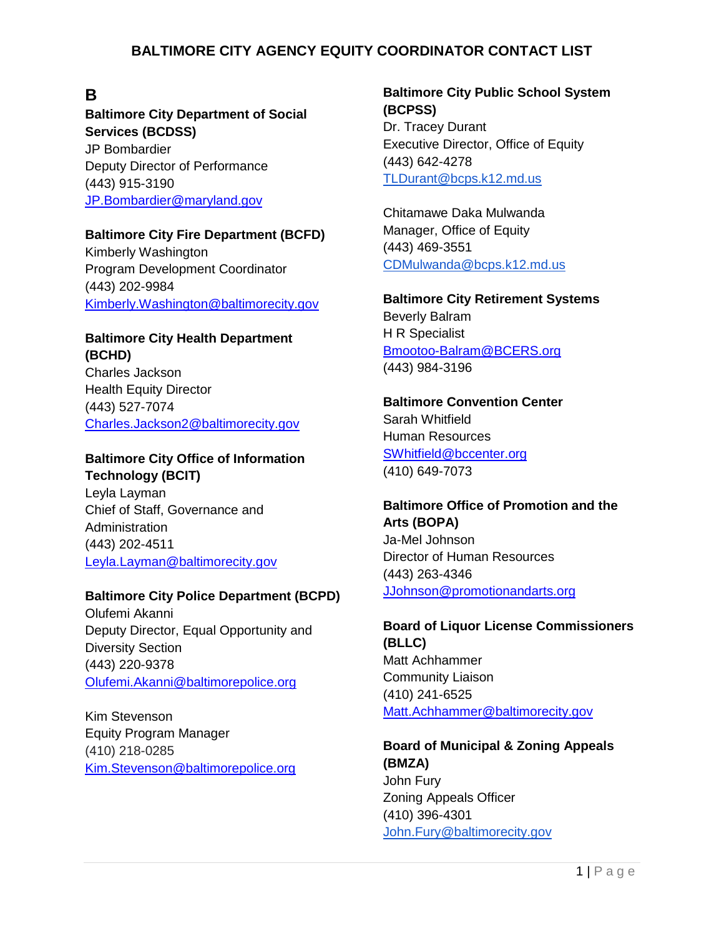# **B**

**Baltimore City Department of Social Services (BCDSS)** JP Bombardier Deputy Director of Performance (443) 915-3190 [JP.Bombardier@maryland.gov](mailto:JP.Bombardier@maryland.gov)

#### **Baltimore City Fire Department (BCFD)**

Kimberly Washington Program Development Coordinator (443) 202-9984 [Kimberly.Washington@baltimorecity.gov](mailto:Kimberly.Washington@baltimorecity.gov)

### **Baltimore City Health Department (BCHD)**

Charles Jackson Health Equity Director (443) 527-7074 [Charles.Jackson2@baltimorecity.gov](mailto:Charles.Jackson2@baltimorecity.gov)

#### **Baltimore City Office of Information Technology (BCIT)**

Leyla Layman Chief of Staff, Governance and Administration (443) 202-4511 [Leyla.Layman@baltimorecity.gov](mailto:Leyla.Layman@baltimorecity.gov)

#### **Baltimore City Police Department (BCPD)**

Olufemi Akanni Deputy Director, Equal Opportunity and Diversity Section (443) 220-9378 [Olufemi.Akanni@baltimorepolice.org](mailto:Olufemi.Akanni@baltimorepolice.org)

Kim Stevenson Equity Program Manager (410) 218-0285 [Kim.Stevenson@baltimorepolice.org](mailto:Kim.Stevenson@baltimorepolice.org)

### **Baltimore City Public School System (BCPSS)** Dr. Tracey Durant Executive Director, Office of Equity (443) 642-4278 [TLDurant@bcps.k12.md.us](mailto:TLDurant@bcps.k12.md.us)

Chitamawe Daka Mulwanda Manager, Office of Equity (443) 469-3551 [CDMulwanda@bcps.k12.md.us](mailto:CDMulwanda@bcps.k12.md.us)

**Baltimore City Retirement Systems** Beverly Balram H R Specialist [Bmootoo-Balram@BCERS.org](mailto:Bmootoo-Balram@BCERS.org) (443) 984-3196

**Baltimore Convention Center** Sarah Whitfield Human Resources [SWhitfield@bccenter.org](mailto:SWhitfield@bccenter.org) (410) 649-7073

### **Baltimore Office of Promotion and the Arts (BOPA)** Ja-Mel Johnson

Director of Human Resources (443) 263-4346 [JJohnson@promotionandarts.org](mailto:JJohnson@promotionandarts.org)

**Board of Liquor License Commissioners (BLLC)** Matt Achhammer Community Liaison (410) 241-6525 [Matt.Achhammer@baltimorecity.gov](mailto:Matt.Achhammer@baltimorecity.gov)

### **Board of Municipal & Zoning Appeals (BMZA)** John Fury Zoning Appeals Officer (410) 396-4301 [John.Fury@baltimorecity.gov](mailto:John.Fury@baltimorecity.gov)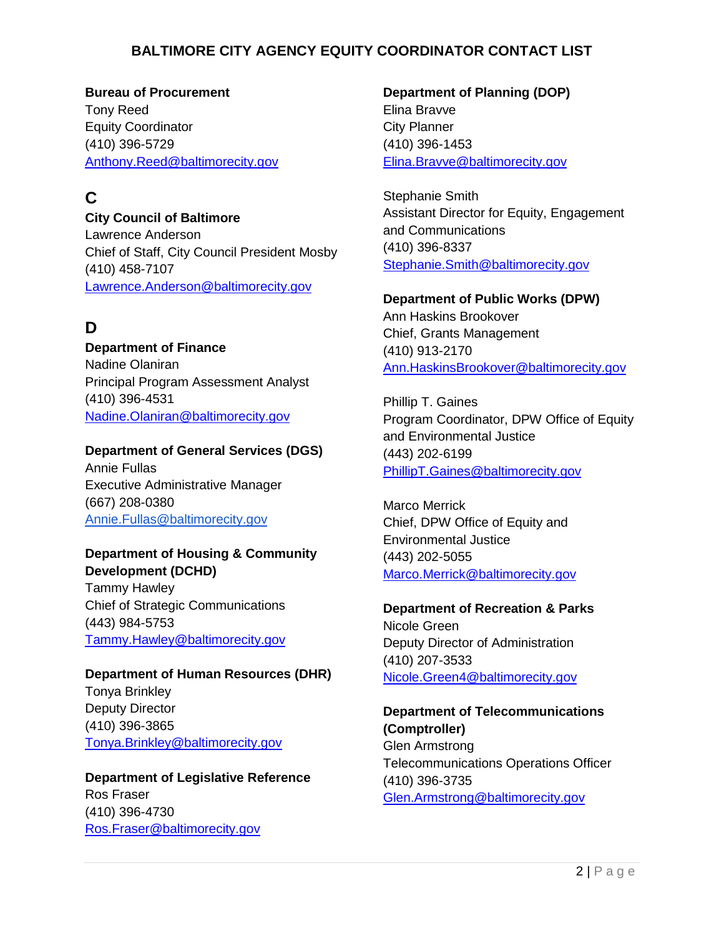**Bureau of Procurement** Tony Reed Equity Coordinator (410) 396-5729 [Anthony.Reed@baltimorecity.gov](mailto:Anthony.Reed@baltimorecity.gov)

# **C**

**City Council of Baltimore** Lawrence Anderson Chief of Staff, City Council President Mosby (410) 458-7107 [Lawrence.Anderson@baltimorecity.gov](mailto:Lawrence.Anderson@baltimorecity.gov)

# **D**

**Department of Finance** Nadine Olaniran Principal Program Assessment Analyst (410) 396-4531 [Nadine.Olaniran@baltimorecity.gov](mailto:Nadine.Olaniran@baltimorecity.gov)

### **Department of General Services (DGS)**

Annie Fullas Executive Administrative Manager (667) 208-0380 [Annie.Fullas@baltimorecity.gov](mailto:Aleia.Hendricks@baltimorcity.gov)

### **Department of Housing & Community Development (DCHD)**

Tammy Hawley Chief of Strategic Communications (443) 984-5753 [Tammy.Hawley@baltimorecity.gov](mailto:Tammy.Hawley@baltimorecity.gov)

# **Department of Human Resources (DHR)** Tonya Brinkley

Deputy Director (410) 396-3865 [Tonya.Brinkley@baltimorecity.gov](mailto:Tonya.Brinkley@baltimorecity.gov)

**Department of Legislative Reference** Ros Fraser (410) 396-4730 [Ros.Fraser@baltimorecity.gov](mailto:Ros.Fraser@baltimorecity.gov)

**Department of Planning (DOP)** Elina Bravve City Planner (410) 396-1453 [Elina.Bravve@baltimorecity.gov](mailto:Elina.Bravve@baltimorecity.gov)

Stephanie Smith Assistant Director for Equity, Engagement and Communications (410) 396-8337 [Stephanie.Smith@baltimorecity.gov](mailto:Stephanie.Smith@baltimorecity.gov)

### **Department of Public Works (DPW)**

Ann Haskins Brookover Chief, Grants Management (410) 913-2170 [Ann.HaskinsBrookover@baltimorecity.gov](mailto:Ann.HaskinsBrookover@baltimorecity.gov)

Phillip T. Gaines Program Coordinator, DPW Office of Equity and Environmental Justice (443) 202-6199 [PhillipT.Gaines@baltimorecity.gov](mailto:PhillipT.Gaines@baltimorecity.gov)

Marco Merrick Chief, DPW Office of Equity and Environmental Justice (443) 202-5055 [Marco.Merrick@baltimorecity.gov](mailto:Marco.Merrick@baltimorecity.gov)

#### **Department of Recreation & Parks** Nicole Green

Deputy Director of Administration (410) 207-3533 [Nicole.Green4@baltimorecity.gov](mailto:Nicole.Green4@baltimorecity.gov)

# **Department of Telecommunications (Comptroller)** Glen Armstrong Telecommunications Operations Officer

(410) 396-3735 [Glen.Armstrong@baltimorecity.gov](mailto:Glen.Armstrong@baltimorecity.gov)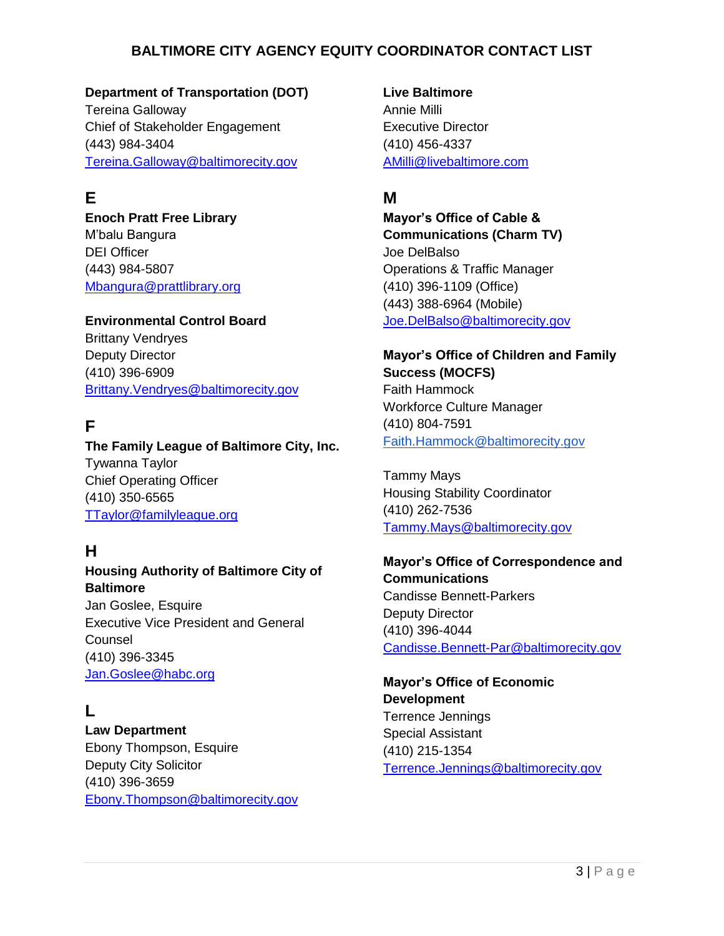### **Department of Transportation (DOT)**

Tereina Galloway Chief of Stakeholder Engagement (443) 984-3404 [Tereina.Galloway@baltimorecity.gov](mailto:Tereina.Galloway@baltimorecity.gov)

# **E**

**Enoch Pratt Free Library** M'balu Bangura DEI Officer (443) 984-5807 [Mbangura@prattlibrary.org](mailto:Mbangura@prattlibrary.org)

#### **Environmental Control Board**

Brittany Vendryes Deputy Director (410) 396-6909 [Brittany.Vendryes@baltimorecity.gov](mailto:Brittany.Vendryes@baltimorecity.gov)

# **F**

**The Family League of Baltimore City, Inc.** Tywanna Taylor Chief Operating Officer (410) 350-6565 [TTaylor@familyleague.org](mailto:TTaylor@familyleague.org)

# **H**

#### **Housing Authority of Baltimore City of Baltimore**

Jan Goslee, Esquire Executive Vice President and General **Counsel** (410) 396-3345 [Jan.Goslee@habc.org](mailto:Jan.Goslee@habc.org)

## **L**

**Law Department** Ebony Thompson, Esquire Deputy City Solicitor (410) 396-3659 [Ebony.Thompson@baltimorecity.gov](mailto:Ebony.Thompson@baltimorecity.gov) **Live Baltimore** Annie Milli Executive Director (410) 456-4337 [AMilli@livebaltimore.com](mailto:AMilli@livebaltimore.com)

## **M**

**Mayor's Office of Cable & Communications (Charm TV)** Joe DelBalso Operations & Traffic Manager (410) 396-1109 (Office) (443) 388-6964 (Mobile) [Joe.DelBalso@baltimorecity.gov](mailto:Joe.DelBalso@baltimorecity.gov)

### **Mayor's Office of Children and Family Success (MOCFS)** Faith Hammock Workforce Culture Manager (410) 804-7591 Faith.Hammock@baltimorecity.gov

Tammy Mays Housing Stability Coordinator (410) 262-7536 [Tammy.Mays@baltimorecity.gov](mailto:Tammy.Mays@baltimorecity.gov)

### **Mayor's Office of Correspondence and Communications** Candisse Bennett-Parkers Deputy Director (410) 396-4044 [Candisse.Bennett-Par@baltimorecity.gov](mailto:Candisse.Bennett-Par@baltimorecity.gov)

**Mayor's Office of Economic Development** Terrence Jennings Special Assistant (410) 215-1354 [Terrence.Jennings@baltimorecity.gov](mailto:Terrence.Jennings@baltimorecity.gov)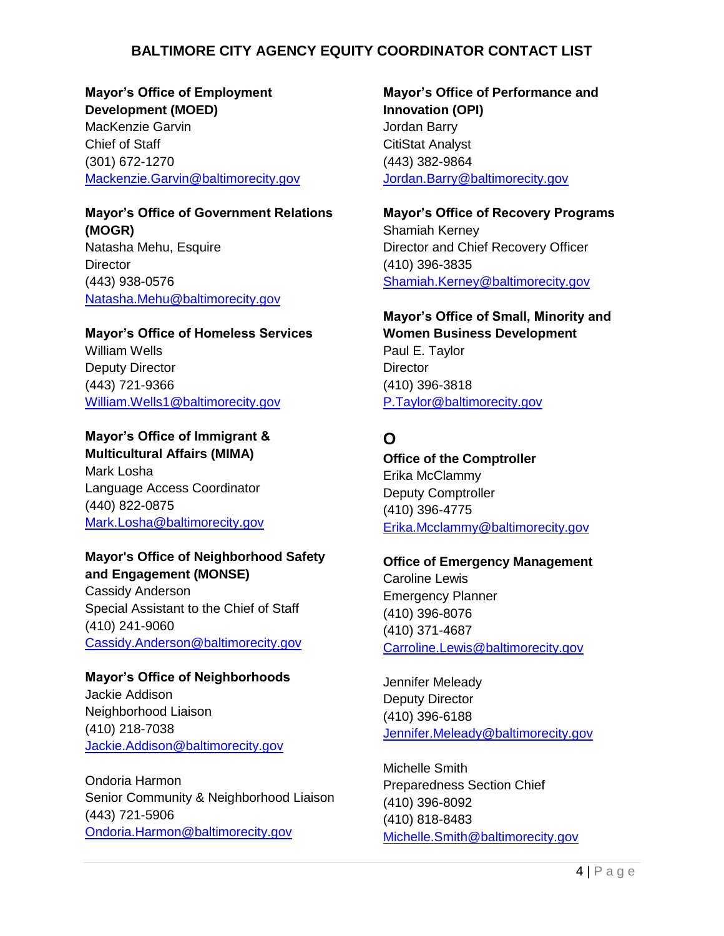**Mayor's Office of Employment Development (MOED)** MacKenzie Garvin Chief of Staff (301) 672-1270 [Mackenzie.Garvin@baltimorecity.gov](mailto:Mackenzie.Garvin@baltimorecity.gov)

# **Mayor's Office of Government Relations (MOGR)**

Natasha Mehu, Esquire **Director** (443) 938-0576 [Natasha.Mehu@baltimorecity.gov](mailto:Natasha.Mehu@baltimorecity.gov)

**Mayor's Office of Homeless Services**  William Wells Deputy Director (443) 721-9366 [William.Wells1@baltimorecity.gov](mailto:William.Wells1@baltimorecity.gov)

### **Mayor's Office of Immigrant & Multicultural Affairs (MIMA)**

Mark Losha Language Access Coordinator (440) 822-0875 [Mark.Losha@baltimorecity.gov](mailto:Mark.Losha@baltimorecity.gov)

### **Mayor's Office of Neighborhood Safety and Engagement (MONSE)**

Cassidy Anderson Special Assistant to the Chief of Staff (410) 241-9060 [Cassidy.Anderson@baltimorecity.gov](mailto:Cassidy.Anderson@baltimorecity.gov)

#### **Mayor's Office of Neighborhoods**

Jackie Addison Neighborhood Liaison (410) 218-7038 [Jackie.Addison@baltimorecity.gov](mailto:Jackie.Addison@baltimorecity.gov)

Ondoria Harmon Senior Community & Neighborhood Liaison (443) 721-5906 [Ondoria.Harmon@baltimorecity.gov](mailto:Ondoria.Harmon@baltimorecity.gov)

**Mayor's Office of Performance and Innovation (OPI)** Jordan Barry CitiStat Analyst (443) 382-9864 [Jordan.Barry@baltimorecity.gov](mailto:Jordan.Barry@baltimorecity.gov)

**Mayor's Office of Recovery Programs** Shamiah Kerney Director and Chief Recovery Officer (410) 396-3835 [Shamiah.Kerney@baltimorecity.gov](mailto:Shamiah.Kerney@baltimorecity.gov)

**Mayor's Office of Small, Minority and Women Business Development**  Paul E. Taylor **Director** (410) 396-3818 [P.Taylor@baltimorecity.gov](mailto:P.Taylor@baltimorecity.gov)

# **O**

**Office of the Comptroller** Erika McClammy Deputy Comptroller (410) 396-4775 [Erika.Mcclammy@baltimorecity.gov](mailto:Erika.Mcclammy@baltimorecity.gov)

#### **Office of Emergency Management**

Caroline Lewis Emergency Planner (410) 396-8076 (410) 371-4687 [Carroline.Lewis@baltimorecity.gov](mailto:Carroline.Lewis@baltimorecity.gov)

Jennifer Meleady Deputy Director (410) 396-6188 [Jennifer.Meleady@baltimorecity.gov](mailto:Jennifer.Meleady@baltimorecity.gov)

Michelle Smith Preparedness Section Chief (410) 396-8092 (410) 818-8483 [Michelle.Smith@baltimorecity.gov](mailto:Michelle.Smith@baltimorecity.gov)